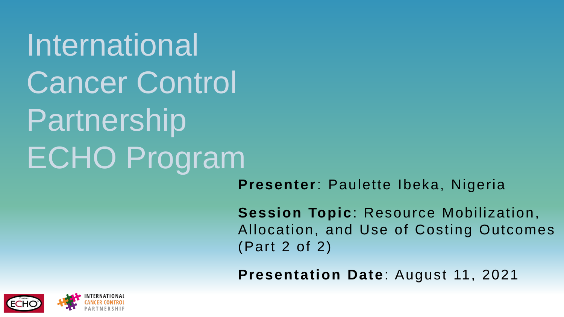International Cancer Control Partnership ECHO Program

**Presenter**: Paulette Ibeka, Nigeria

**Session Topic**: Resource Mobilization, Allocation, and Use of Costing Outcomes (Part 2 of 2)

**Presentation Date**: August 11, 2021

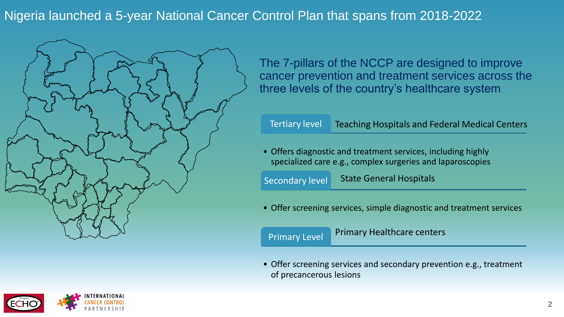Nigeria launched a 5-year National Cancer Control Plan that spans from 2018-2022



The 7-pillars of the NCCP are designed to improve cancer prevention and treatment services across the three levels of the country's healthcare system

## Tertiary level Teaching Hospitals and Federal Medical Centers

• Offers diagnostic and treatment services, including highly specialized care e.g., complex surgeries and laparoscopies

Secondary level State General Hospitals

• Offer screening services, simple diagnostic and treatment services

Primary Level

Primary Healthcare centers

• Offer screening services and secondary prevention e.g., treatment of precancerous lesions

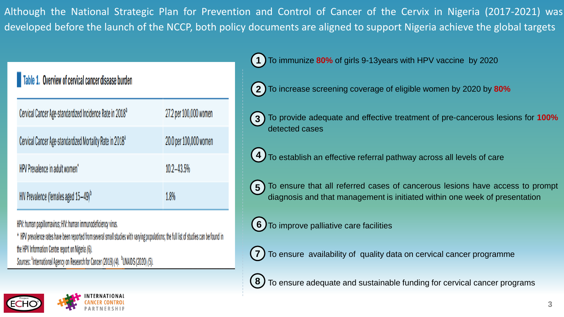Although the National Strategic Plan for Prevention and Control of Cancer of the Cervix in Nigeria (2017-2021) was developed before the launch of the NCCP, both policy documents are aligned to support Nigeria achieve the global targets

## Overview of cervical cancer disease burden

| Cervical Cancer Age-standardized Incidence Rate in 2018 <sup>a</sup> | 27.2 per 100,000 women |
|----------------------------------------------------------------------|------------------------|
| Cervical Cancer Age-standardized Mortality Rate in 2018 <sup>a</sup> | 20.0 per 100,000 women |
| HPV Prevalence in adult women*                                       | $10.2 - 43.5%$         |
| HIV Prevalence (females aged 15-49) <sup>b</sup>                     | 1.8%                   |

HPV: human papillomavirus; HIV: human immunodeficiency virus.

\* HPV prevalence rates have been reported from several small studies with varying populations; the full list of studies can be found in the HPV Information Centre report on Nigeria (6).

Sources: <sup>a</sup>International Agency on Research for Cancer (2018) (4). <sup>b</sup>UNAIDS (2020) (5).



**1**) To immunize 80% of girls 9-13years with HPV vaccine by 2020

• To increase screening coverage of eligible women by 2020 by **80% 2**

• To provide adequate and effective treatment of pre-cancerous lesions for **100%** detected cases **3**

4) To establish an effective referral pathway across all levels of care

5) To ensure that all referred cases of cancerous lesions have access to prompt diagnosis and that management is initiated within one week of presentation

**6)** To improve palliative care facilities

**7)** To ensure availability of quality data on cervical cancer programme

8) To ensure adequate and sustainable funding for cervical cancer programs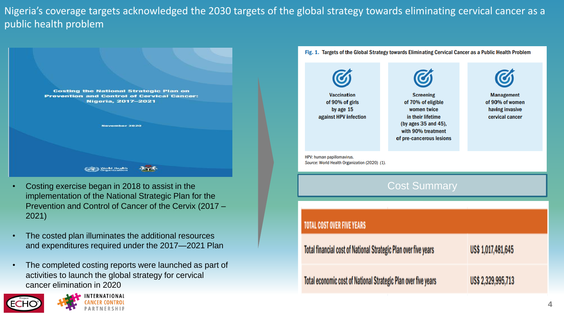Nigeria's coverage targets acknowledged the 2030 targets of the global strategy towards eliminating cervical cancer as a public health problem

| <b>Costing the National Strategic Plan on</b><br><b>Prevention and Control of Cervical Cancer:</b> |
|----------------------------------------------------------------------------------------------------|
| Nigeria, 2017-2021                                                                                 |
|                                                                                                    |
| November 2020                                                                                      |
|                                                                                                    |
|                                                                                                    |
| orld Health<br>nanization                                                                          |

- Costing exercise began in 2018 to assist in the implementation of the National Strategic Plan for the Prevention and Control of Cancer of the Cervix (2017 – 2021)
- The costed plan illuminates the additional resources and expenditures required under the 2017—2021 Plan
- The completed costing reports were launched as part of activities to launch the global strategy for cervical cancer elimination in 2020



Fig. 1. Targets of the Global Strategy towards Eliminating Cervical Cancer as a Public Health Problem

| <b>Vaccination</b><br>of 90% of girls<br>by age 15<br>against HPV infection | <b>Screening</b><br>of 70% of eligible<br>women twice<br>in their lifetime<br>(by ages 35 and 45),<br>with 90% treatment<br>of pre-cancerous lesions | <b>Management</b><br>of 90% of women<br>having invasive<br>cervical cancer |  |
|-----------------------------------------------------------------------------|------------------------------------------------------------------------------------------------------------------------------------------------------|----------------------------------------------------------------------------|--|
| HPV: human papillomavirus.<br>Source: World Health Organization (2020) (1). |                                                                                                                                                      |                                                                            |  |
| <b>Cost Summary</b>                                                         |                                                                                                                                                      |                                                                            |  |
|                                                                             |                                                                                                                                                      |                                                                            |  |
| <b>TOTAL COST OVER FIVE YEARS</b>                                           |                                                                                                                                                      |                                                                            |  |
| Total financial cost of National Strategic Plan over five years             |                                                                                                                                                      | US\$ 1,017,481,645                                                         |  |
| Total economic cost of National Strategic Plan over five years              |                                                                                                                                                      | US\$ 2,329,995,713                                                         |  |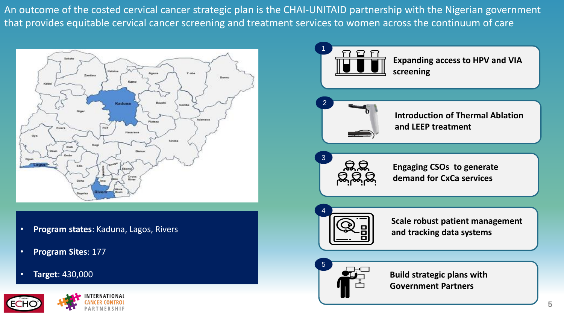An outcome of the costed cervical cancer strategic plan is the CHAI-UNITAID partnership with the Nigerian government that provides equitable cervical cancer screening and treatment services to women across the continuum of care



- **Program states**: Kaduna, Lagos, Rivers
- **Program Sites**: 177
- **Target**: 430,000